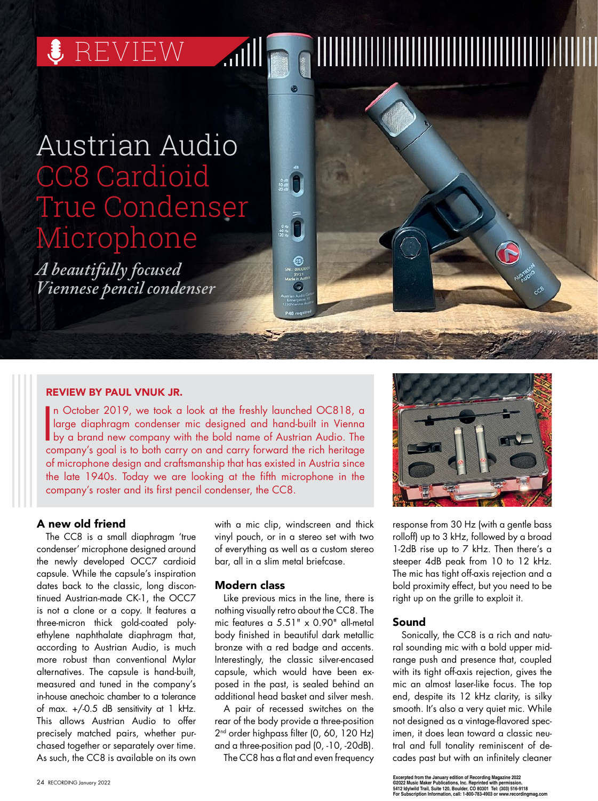$\bullet$  REVIEW

# Austrian Audio CC8 Cardioid True Condenser Microphone

*A beautifully focused Viennese pencil condenser*

# REVIEW BY PAUL VNUK JR.

In October 2019, we took a look at the freshly launched OC818, a<br>large diaphragm condenser mic designed and hand-built in Vienna<br>by a brand new company with the bold name of Austrian Audio. The<br>company's goal is to both ca n October 2019, we took a look at the freshly launched OC818, a large diaphragm condenser mic designed and hand-built in Vienna company's goal is to both carry on and carry forward the rich heritage of microphone design and craftsmanship that has existed in Austria since the late 1940s. Today we are looking at the fifth microphone in the company's roster and its first pencil condenser, the CC8.

**ATIII** 

## A new old friend

The CC8 is a small diaphragm 'true condenser' microphone designed around the newly developed OCC7 cardioid capsule. While the capsule's inspiration dates back to the classic, long discontinued Austrian-made CK-1, the OCC7 is not a clone or a copy. It features a three-micron thick gold-coated polyethylene naphthalate diaphragm that, according to Austrian Audio, is much more robust than conventional Mylar alternatives. The capsule is hand-built, measured and tuned in the company's in-house anechoic chamber to a tolerance of max. +/-0.5 dB sensitivity at 1 kHz. This allows Austrian Audio to offer precisely matched pairs, whether purchased together or separately over time. As such, the CC8 is available on its own

with a mic clip, windscreen and thick vinyl pouch, or in a stereo set with two of everything as well as a custom stereo bar, all in a slim metal briefcase.

## Modern class

Like previous mics in the line, there is nothing visually retro about the CC8. The mic features a 5.51" x 0.90" all-metal body finished in beautiful dark metallic bronze with a red badge and accents. Interestingly, the classic silver-encased capsule, which would have been exposed in the past, is sealed behind an additional head basket and silver mesh.

A pair of recessed switches on the rear of the body provide a three-position 2<sup>nd</sup> order highpass filter (0, 60, 120 Hz) and a three-position pad (0, -10, -20dB).

The CC8 has a flat and even frequency



response from 30 Hz (with a gentle bass rolloff) up to 3 kHz, followed by a broad 1-2dB rise up to 7 kHz. Then there's a steeper 4dB peak from 10 to 12 kHz. The mic has tight off-axis rejection and a bold proximity effect, but you need to be right up on the grille to exploit it.

#### Sound

Sonically, the CC8 is a rich and natural sounding mic with a bold upper midrange push and presence that, coupled with its tight off-axis rejection, gives the mic an almost laser-like focus. The top end, despite its 12 kHz clarity, is silky smooth. It's also a very quiet mic. While not designed as a vintage-flavored specimen, it does lean toward a classic neutral and full tonality reminiscent of decades past but with an infinitely cleaner

**Excerpted from the January edition of Recording Magazine 2022 ©2022 Music Maker Publications, Inc. Reprinted with permission. 5412 Idylwild Trail, Suite 120, Boulder, CO 80301 Tel: (303) 516-9118 For Subscription Information, call: 1-800-783-4903 or www.recordingmag.com**